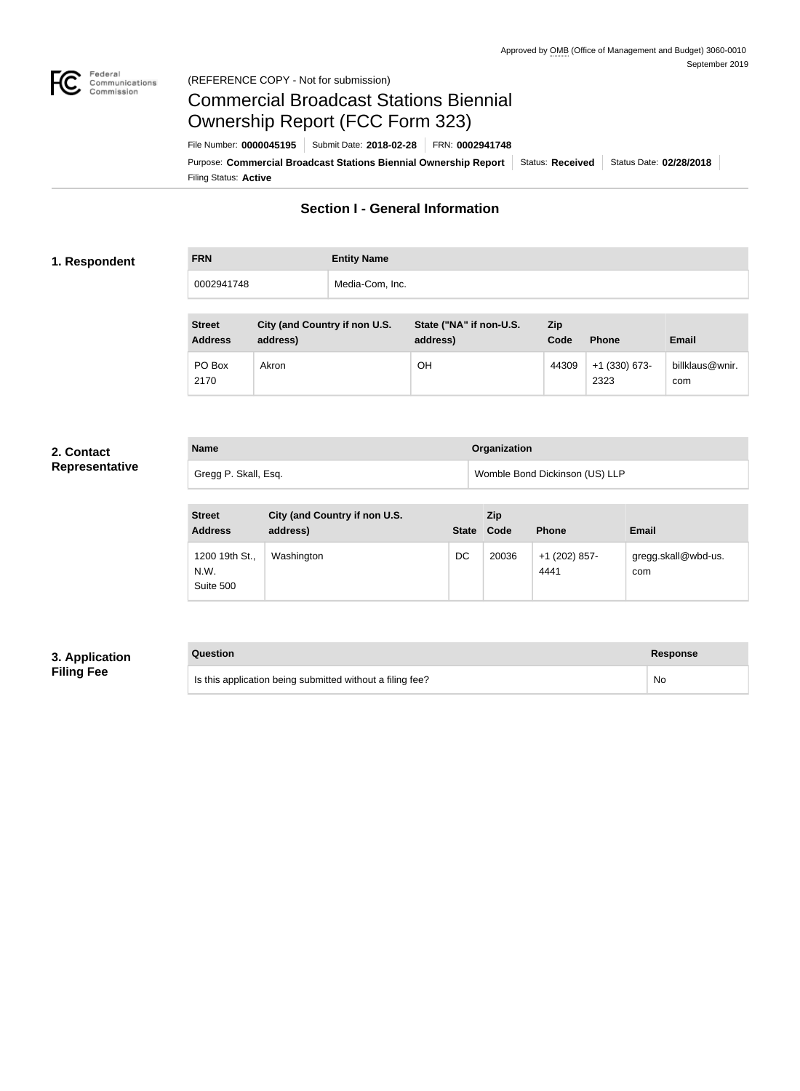

# Federal<br>Communications<br>Commission (REFERENCE COPY - Not for submission)

# Commercial Broadcast Stations Biennial Ownership Report (FCC Form 323)

Filing Status: **Active** Purpose: Commercial Broadcast Stations Biennial Ownership Report Status: Received Status Date: 02/28/2018 File Number: **0000045195** Submit Date: **2018-02-28** FRN: **0002941748**

# **Section I - General Information**

## **1. Respondent**

**FRN Entity Name** 0002941748 Media-Com, Inc.

| <b>Street</b><br><b>Address</b> | City (and Country if non U.S.<br>address) | State ("NA" if non-U.S.<br>address) | <b>Zip</b><br>Code | <b>Phone</b>            | <b>Email</b>           |
|---------------------------------|-------------------------------------------|-------------------------------------|--------------------|-------------------------|------------------------|
| PO Box<br>2170                  | Akron                                     | <b>OH</b>                           | 44309              | $+1$ (330) 673-<br>2323 | billklaus@wnir.<br>com |

### **2. Contact Representativ**

|    | <b>Name</b>          | Organization                   |  |
|----|----------------------|--------------------------------|--|
| ve | Gregg P. Skall, Esq. | Womble Bond Dickinson (US) LLP |  |

| <b>Street</b><br><b>Address</b>     | City (and Country if non U.S.<br>address) | <b>State</b> | Zip<br>Code | <b>Phone</b>          | <b>Email</b>               |
|-------------------------------------|-------------------------------------------|--------------|-------------|-----------------------|----------------------------|
| 1200 19th St.,<br>N.W.<br>Suite 500 | Washington                                | DC           | 20036       | +1 (202) 857-<br>4441 | gregg.skall@wbd-us.<br>com |

# **3. Application Filing Fee**

# **Question Response** Is this application being submitted without a filing fee? No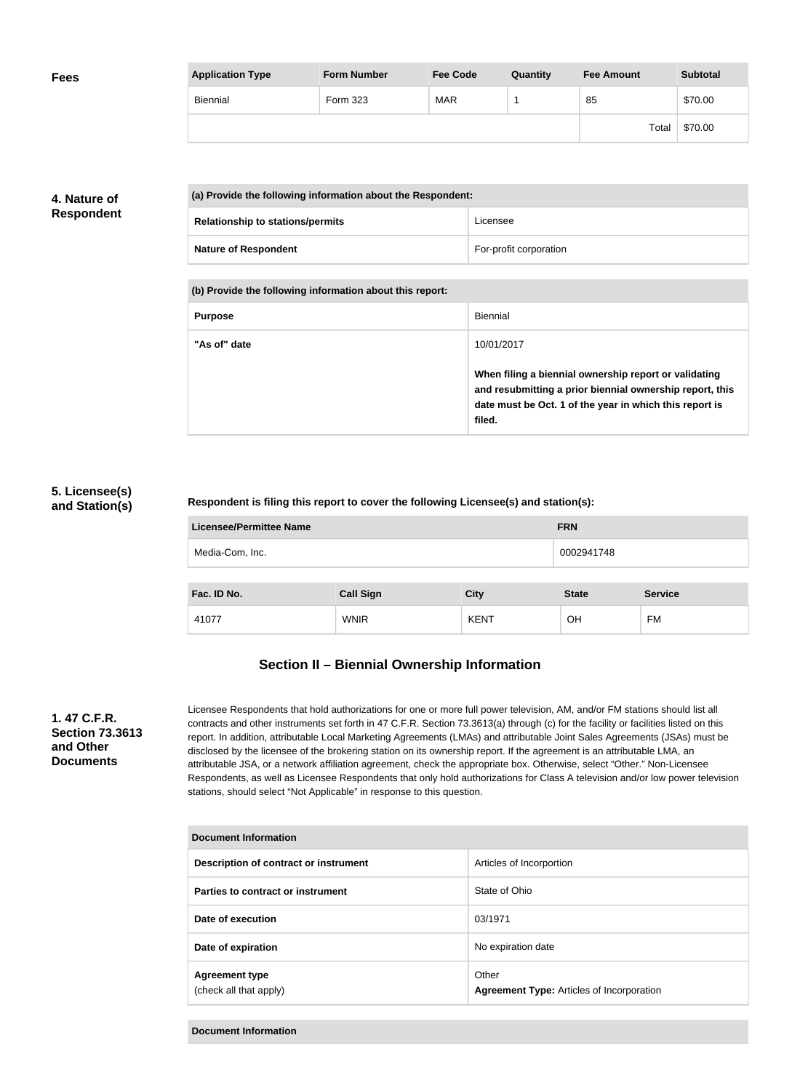| <b>Fees</b> | <b>Application Type</b> | <b>Form Number</b> | <b>Fee Code</b> | Quantity | <b>Fee Amount</b> | <b>Subtotal</b> |
|-------------|-------------------------|--------------------|-----------------|----------|-------------------|-----------------|
|             | Biennial                | Form 323           | <b>MAR</b>      |          | 85                | \$70.00         |
|             |                         |                    |                 |          | Total             | \$70.00         |

# **4. Nature of Respondent**

| (a) Provide the following information about the Respondent: |                        |  |
|-------------------------------------------------------------|------------------------|--|
| <b>Relationship to stations/permits</b>                     | Licensee               |  |
| <b>Nature of Respondent</b>                                 | For-profit corporation |  |

**(b) Provide the following information about this report:**

| <b>Purpose</b> | Biennial                                                                                                                                                                               |
|----------------|----------------------------------------------------------------------------------------------------------------------------------------------------------------------------------------|
| "As of" date   | 10/01/2017                                                                                                                                                                             |
|                | When filing a biennial ownership report or validating<br>and resubmitting a prior biennial ownership report, this<br>date must be Oct. 1 of the year in which this report is<br>filed. |

# **5. Licensee(s) and Station(s)**

## **Respondent is filing this report to cover the following Licensee(s) and station(s):**

| Licensee/Permittee Name | <b>FRN</b>       |             |              |                |
|-------------------------|------------------|-------------|--------------|----------------|
| Media-Com, Inc.         |                  |             | 0002941748   |                |
|                         |                  |             |              |                |
| Fac. ID No.             | <b>Call Sign</b> | <b>City</b> | <b>State</b> | <b>Service</b> |
| 41077                   | <b>WNIR</b>      | <b>KENT</b> | <b>OH</b>    | FM             |

# **Section II – Biennial Ownership Information**

## **1. 47 C.F.R. Section 73.3613 and Other Documents**

Licensee Respondents that hold authorizations for one or more full power television, AM, and/or FM stations should list all contracts and other instruments set forth in 47 C.F.R. Section 73.3613(a) through (c) for the facility or facilities listed on this report. In addition, attributable Local Marketing Agreements (LMAs) and attributable Joint Sales Agreements (JSAs) must be disclosed by the licensee of the brokering station on its ownership report. If the agreement is an attributable LMA, an attributable JSA, or a network affiliation agreement, check the appropriate box. Otherwise, select "Other." Non-Licensee Respondents, as well as Licensee Respondents that only hold authorizations for Class A television and/or low power television stations, should select "Not Applicable" in response to this question.

| Document Information                            |                                                           |  |  |
|-------------------------------------------------|-----------------------------------------------------------|--|--|
| Description of contract or instrument           | Articles of Incorportion                                  |  |  |
| Parties to contract or instrument               | State of Ohio                                             |  |  |
| Date of execution                               | 03/1971                                                   |  |  |
| Date of expiration                              | No expiration date                                        |  |  |
| <b>Agreement type</b><br>(check all that apply) | Other<br><b>Agreement Type: Articles of Incorporation</b> |  |  |

#### **Document Information**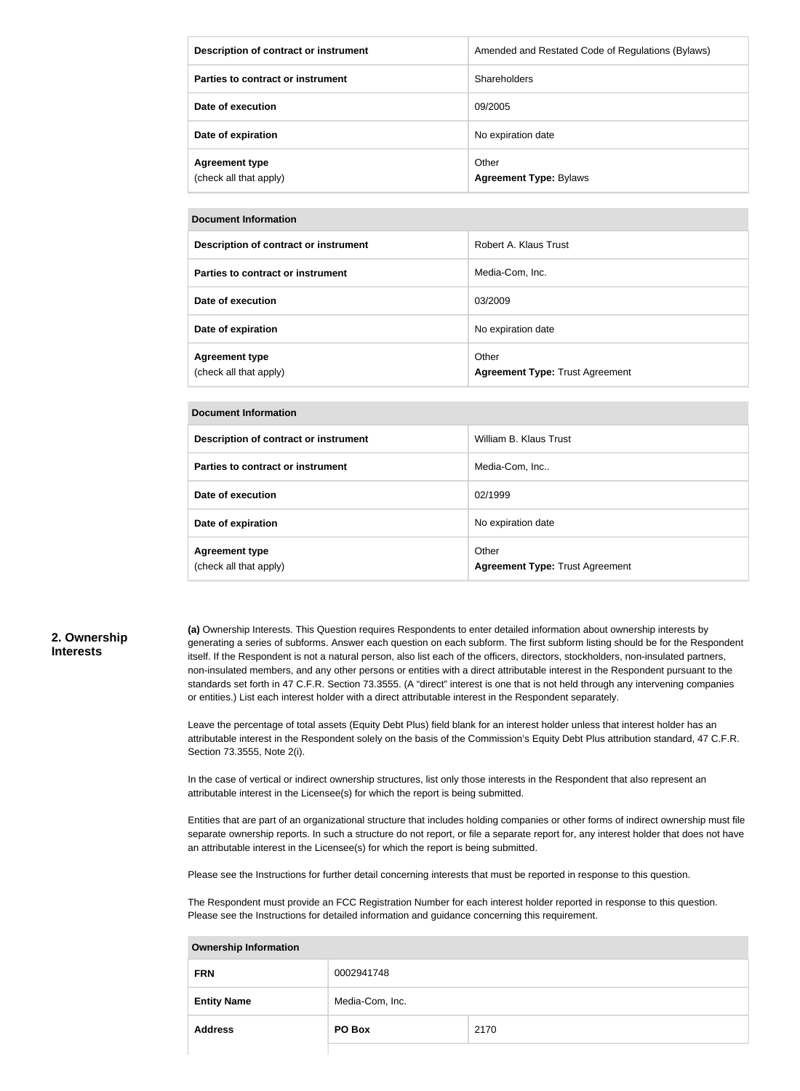| Description of contract or instrument           | Amended and Restated Code of Regulations (Bylaws) |
|-------------------------------------------------|---------------------------------------------------|
| Parties to contract or instrument               | Shareholders                                      |
| Date of execution                               | 09/2005                                           |
| Date of expiration                              | No expiration date                                |
| <b>Agreement type</b><br>(check all that apply) | Other<br><b>Agreement Type: Bylaws</b>            |

#### **Document Information**

| Description of contract or instrument           | Robert A. Klaus Trust                           |
|-------------------------------------------------|-------------------------------------------------|
| Parties to contract or instrument               | Media-Com, Inc.                                 |
| Date of execution                               | 03/2009                                         |
| Date of expiration                              | No expiration date                              |
| <b>Agreement type</b><br>(check all that apply) | Other<br><b>Agreement Type: Trust Agreement</b> |

#### **Document Information**

| <b>DUCUMENT MINUTHANUM</b>                      |                                                 |  |  |
|-------------------------------------------------|-------------------------------------------------|--|--|
| Description of contract or instrument           | William B. Klaus Trust                          |  |  |
| Parties to contract or instrument               | Media-Com, Inc                                  |  |  |
| Date of execution                               | 02/1999                                         |  |  |
| Date of expiration                              | No expiration date                              |  |  |
| <b>Agreement type</b><br>(check all that apply) | Other<br><b>Agreement Type: Trust Agreement</b> |  |  |

## **2. Ownership Interests**

**(a)** Ownership Interests. This Question requires Respondents to enter detailed information about ownership interests by generating a series of subforms. Answer each question on each subform. The first subform listing should be for the Respondent itself. If the Respondent is not a natural person, also list each of the officers, directors, stockholders, non-insulated partners, non-insulated members, and any other persons or entities with a direct attributable interest in the Respondent pursuant to the standards set forth in 47 C.F.R. Section 73.3555. (A "direct" interest is one that is not held through any intervening companies or entities.) List each interest holder with a direct attributable interest in the Respondent separately.

Leave the percentage of total assets (Equity Debt Plus) field blank for an interest holder unless that interest holder has an attributable interest in the Respondent solely on the basis of the Commission's Equity Debt Plus attribution standard, 47 C.F.R. Section 73.3555, Note 2(i).

In the case of vertical or indirect ownership structures, list only those interests in the Respondent that also represent an attributable interest in the Licensee(s) for which the report is being submitted.

Entities that are part of an organizational structure that includes holding companies or other forms of indirect ownership must file separate ownership reports. In such a structure do not report, or file a separate report for, any interest holder that does not have an attributable interest in the Licensee(s) for which the report is being submitted.

Please see the Instructions for further detail concerning interests that must be reported in response to this question.

The Respondent must provide an FCC Registration Number for each interest holder reported in response to this question. Please see the Instructions for detailed information and guidance concerning this requirement.

# **FRN** 0002941748 **Entity Name** Media-Com, Inc. **Address PO Box** 2170

#### **Ownership Information**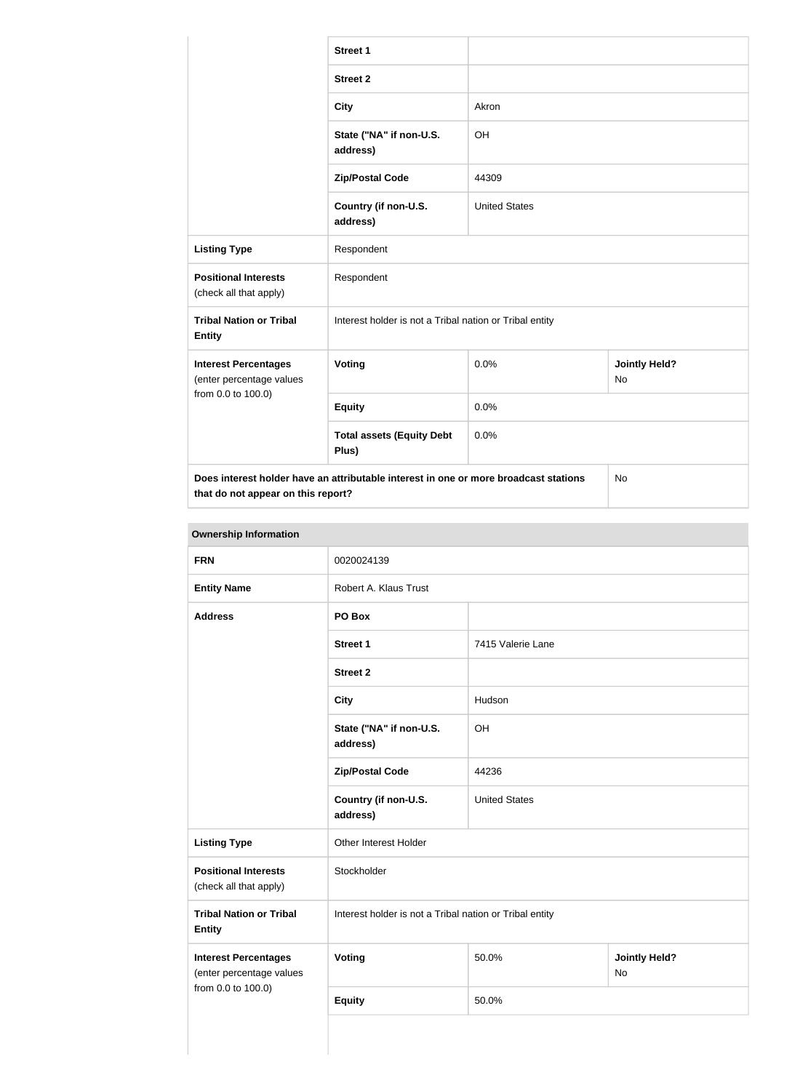|                                                                                                                                  | <b>Street 1</b>                                         |                      |                            |  |
|----------------------------------------------------------------------------------------------------------------------------------|---------------------------------------------------------|----------------------|----------------------------|--|
|                                                                                                                                  | <b>Street 2</b>                                         |                      |                            |  |
|                                                                                                                                  | <b>City</b>                                             | Akron                |                            |  |
|                                                                                                                                  | State ("NA" if non-U.S.<br>address)                     | OH                   |                            |  |
|                                                                                                                                  | <b>Zip/Postal Code</b>                                  | 44309                |                            |  |
|                                                                                                                                  | Country (if non-U.S.<br>address)                        | <b>United States</b> |                            |  |
| <b>Listing Type</b>                                                                                                              | Respondent                                              |                      |                            |  |
| <b>Positional Interests</b><br>(check all that apply)                                                                            | Respondent                                              |                      |                            |  |
| <b>Tribal Nation or Tribal</b><br><b>Entity</b>                                                                                  | Interest holder is not a Tribal nation or Tribal entity |                      |                            |  |
| <b>Interest Percentages</b><br>(enter percentage values                                                                          | Voting                                                  | 0.0%                 | <b>Jointly Held?</b><br>No |  |
| from 0.0 to 100.0)                                                                                                               | <b>Equity</b>                                           | 0.0%                 |                            |  |
|                                                                                                                                  | <b>Total assets (Equity Debt</b><br>Plus)               | 0.0%                 |                            |  |
| Does interest holder have an attributable interest in one or more broadcast stations<br>No<br>that do not appear on this report? |                                                         |                      |                            |  |

# **Ownership Information**

| <b>FRN</b>                                              | 0020024139                                              |                      |                                   |
|---------------------------------------------------------|---------------------------------------------------------|----------------------|-----------------------------------|
| <b>Entity Name</b>                                      | Robert A. Klaus Trust                                   |                      |                                   |
| <b>Address</b>                                          | PO Box                                                  |                      |                                   |
|                                                         | <b>Street 1</b>                                         | 7415 Valerie Lane    |                                   |
|                                                         | <b>Street 2</b>                                         |                      |                                   |
|                                                         | <b>City</b>                                             | Hudson               |                                   |
|                                                         | State ("NA" if non-U.S.<br>address)                     | OH                   |                                   |
|                                                         | <b>Zip/Postal Code</b>                                  | 44236                |                                   |
|                                                         | Country (if non-U.S.<br>address)                        | <b>United States</b> |                                   |
| <b>Listing Type</b>                                     | Other Interest Holder                                   |                      |                                   |
| <b>Positional Interests</b><br>(check all that apply)   | Stockholder                                             |                      |                                   |
| <b>Tribal Nation or Tribal</b><br><b>Entity</b>         | Interest holder is not a Tribal nation or Tribal entity |                      |                                   |
| <b>Interest Percentages</b><br>(enter percentage values | Voting                                                  | 50.0%                | <b>Jointly Held?</b><br><b>No</b> |
| from 0.0 to 100.0)                                      | <b>Equity</b>                                           | 50.0%                |                                   |
|                                                         |                                                         |                      |                                   |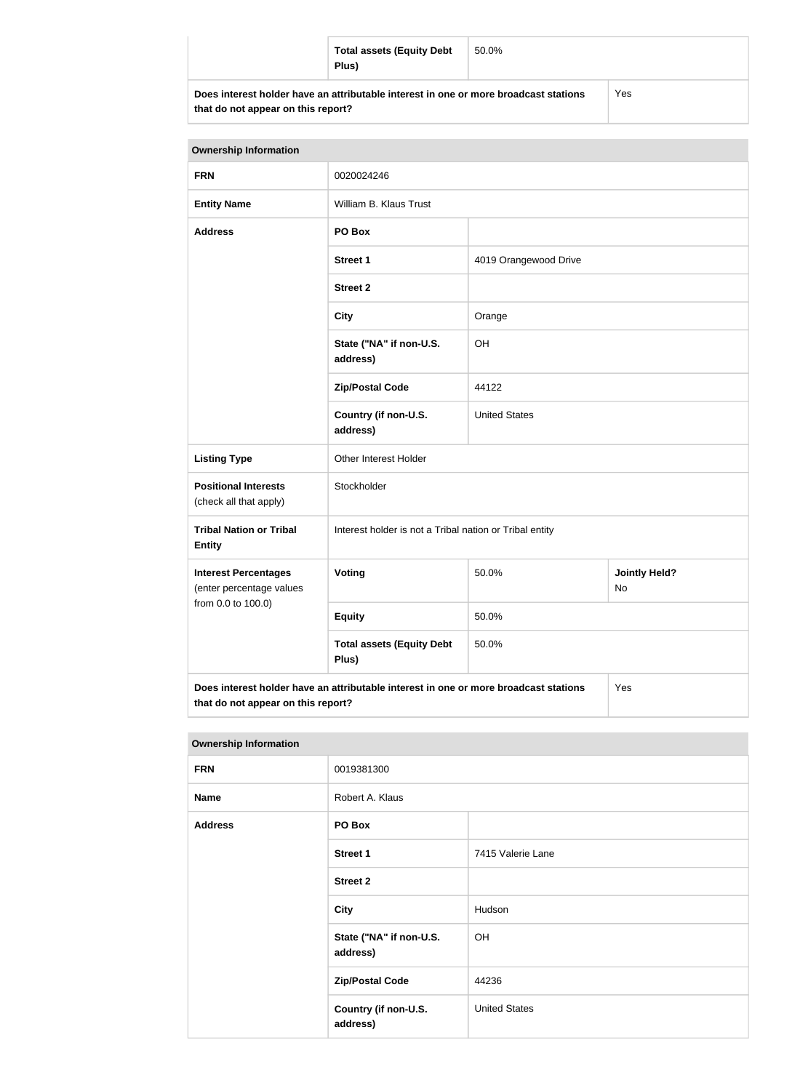| <b>Total assets (Equity Debt</b><br>Plus)                                            | 50.0% |     |
|--------------------------------------------------------------------------------------|-------|-----|
| Does interest holder have an attributable interest in one or more broadcast stations |       | Yes |

**that do not appear on this report?**

Yes

| <b>Ownership Information</b>                                                                |                                                         |                       |  |  |
|---------------------------------------------------------------------------------------------|---------------------------------------------------------|-----------------------|--|--|
| <b>FRN</b>                                                                                  | 0020024246                                              |                       |  |  |
| <b>Entity Name</b>                                                                          | William B. Klaus Trust                                  |                       |  |  |
| <b>Address</b>                                                                              | PO Box                                                  |                       |  |  |
|                                                                                             | <b>Street 1</b>                                         | 4019 Orangewood Drive |  |  |
|                                                                                             | <b>Street 2</b>                                         |                       |  |  |
|                                                                                             | <b>City</b>                                             | Orange                |  |  |
|                                                                                             | State ("NA" if non-U.S.<br>address)                     | OH                    |  |  |
|                                                                                             | <b>Zip/Postal Code</b>                                  | 44122                 |  |  |
|                                                                                             | Country (if non-U.S.<br>address)                        | <b>United States</b>  |  |  |
| <b>Listing Type</b>                                                                         | Other Interest Holder                                   |                       |  |  |
| <b>Positional Interests</b><br>(check all that apply)                                       | Stockholder                                             |                       |  |  |
| <b>Tribal Nation or Tribal</b><br><b>Entity</b>                                             | Interest holder is not a Tribal nation or Tribal entity |                       |  |  |
| <b>Interest Percentages</b><br>(enter percentage values                                     | Voting<br><b>Jointly Held?</b><br>50.0%<br>No           |                       |  |  |
| from 0.0 to 100.0)                                                                          | <b>Equity</b>                                           | 50.0%                 |  |  |
| <b>Total assets (Equity Debt</b><br>50.0%<br>Plus)                                          |                                                         |                       |  |  |
| Does interest holder have an attributable interest in one or more broadcast stations<br>Yes |                                                         |                       |  |  |

**that do not appear on this report?**

| <b>Ownership Information</b> |                                     |                      |  |
|------------------------------|-------------------------------------|----------------------|--|
| <b>FRN</b>                   | 0019381300                          |                      |  |
| <b>Name</b>                  | Robert A. Klaus                     |                      |  |
| <b>Address</b>               | PO Box                              |                      |  |
|                              | <b>Street 1</b>                     | 7415 Valerie Lane    |  |
|                              | <b>Street 2</b>                     |                      |  |
|                              | <b>City</b>                         | Hudson               |  |
|                              | State ("NA" if non-U.S.<br>address) | OH                   |  |
|                              | <b>Zip/Postal Code</b>              | 44236                |  |
|                              | Country (if non-U.S.<br>address)    | <b>United States</b> |  |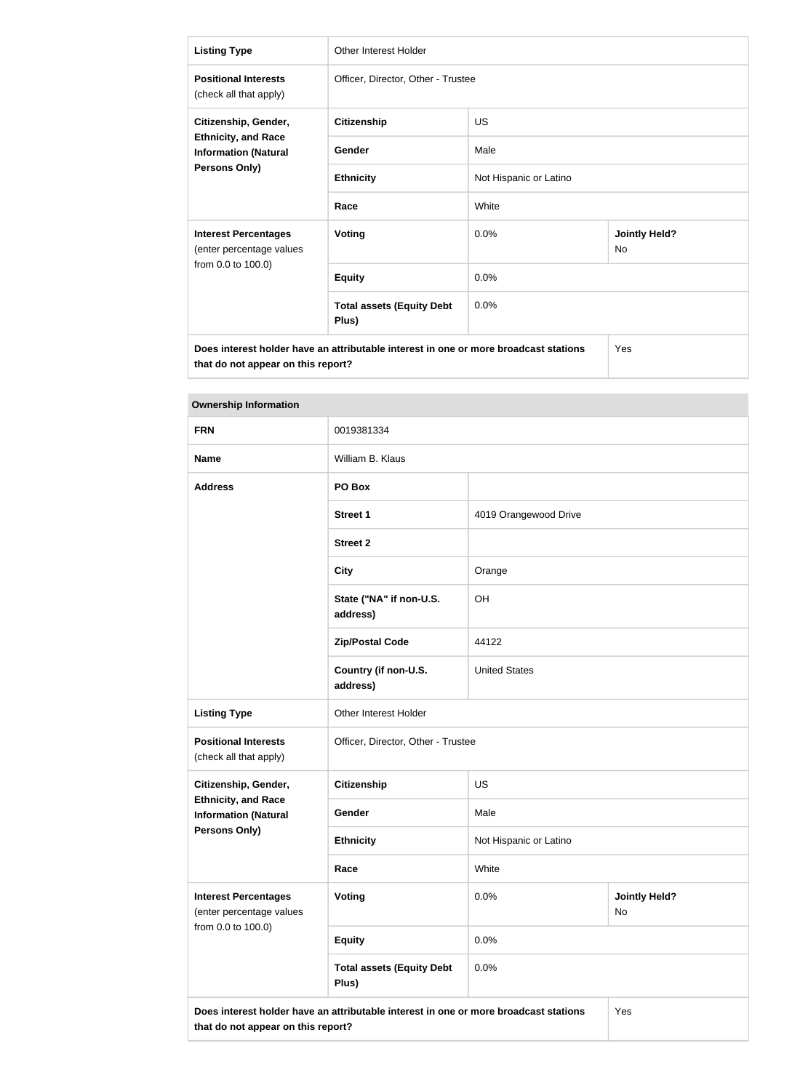| <b>Listing Type</b>                                                                                | <b>Other Interest Holder</b>                                                         |                        |                                   |
|----------------------------------------------------------------------------------------------------|--------------------------------------------------------------------------------------|------------------------|-----------------------------------|
| <b>Positional Interests</b><br>(check all that apply)                                              | Officer, Director, Other - Trustee                                                   |                        |                                   |
| Citizenship, Gender,<br><b>Ethnicity, and Race</b><br><b>Information (Natural</b><br>Persons Only) | <b>Citizenship</b>                                                                   | <b>US</b>              |                                   |
|                                                                                                    | Gender                                                                               | Male                   |                                   |
|                                                                                                    | <b>Ethnicity</b>                                                                     | Not Hispanic or Latino |                                   |
|                                                                                                    | Race                                                                                 | White                  |                                   |
| <b>Interest Percentages</b><br>(enter percentage values                                            | <b>Voting</b>                                                                        | 0.0%                   | <b>Jointly Held?</b><br><b>No</b> |
| from 0.0 to 100.0)                                                                                 | <b>Equity</b>                                                                        | 0.0%                   |                                   |
|                                                                                                    | <b>Total assets (Equity Debt</b><br>Plus)                                            | 0.0%                   |                                   |
|                                                                                                    | Does interest holder have an attributable interest in one or more broadcast stations |                        | Yes                               |

**that do not appear on this report?**

| <b>Ownership Information</b>                                                                                                      |                                           |                                    |  |
|-----------------------------------------------------------------------------------------------------------------------------------|-------------------------------------------|------------------------------------|--|
| <b>FRN</b>                                                                                                                        | 0019381334                                |                                    |  |
| <b>Name</b>                                                                                                                       | William B. Klaus                          |                                    |  |
| <b>Address</b>                                                                                                                    | PO Box                                    |                                    |  |
|                                                                                                                                   | <b>Street 1</b>                           | 4019 Orangewood Drive              |  |
|                                                                                                                                   | <b>Street 2</b>                           |                                    |  |
|                                                                                                                                   | <b>City</b>                               | Orange                             |  |
|                                                                                                                                   | State ("NA" if non-U.S.<br>address)       | OH                                 |  |
|                                                                                                                                   | <b>Zip/Postal Code</b>                    | 44122                              |  |
|                                                                                                                                   | Country (if non-U.S.<br>address)          | <b>United States</b>               |  |
| <b>Listing Type</b>                                                                                                               | Other Interest Holder                     |                                    |  |
| <b>Positional Interests</b><br>(check all that apply)                                                                             | Officer, Director, Other - Trustee        |                                    |  |
| Citizenship, Gender,                                                                                                              | <b>Citizenship</b>                        | <b>US</b>                          |  |
| <b>Ethnicity, and Race</b><br><b>Information (Natural</b>                                                                         | Gender                                    | Male                               |  |
| <b>Persons Only)</b>                                                                                                              | <b>Ethnicity</b>                          | Not Hispanic or Latino             |  |
|                                                                                                                                   | Race                                      | White                              |  |
| <b>Interest Percentages</b><br>(enter percentage values                                                                           | Voting                                    | 0.0%<br><b>Jointly Held?</b><br>No |  |
| from 0.0 to 100.0)                                                                                                                | <b>Equity</b>                             | 0.0%                               |  |
|                                                                                                                                   | <b>Total assets (Equity Debt</b><br>Plus) | 0.0%                               |  |
| Does interest holder have an attributable interest in one or more broadcast stations<br>Yes<br>that do not appear on this report? |                                           |                                    |  |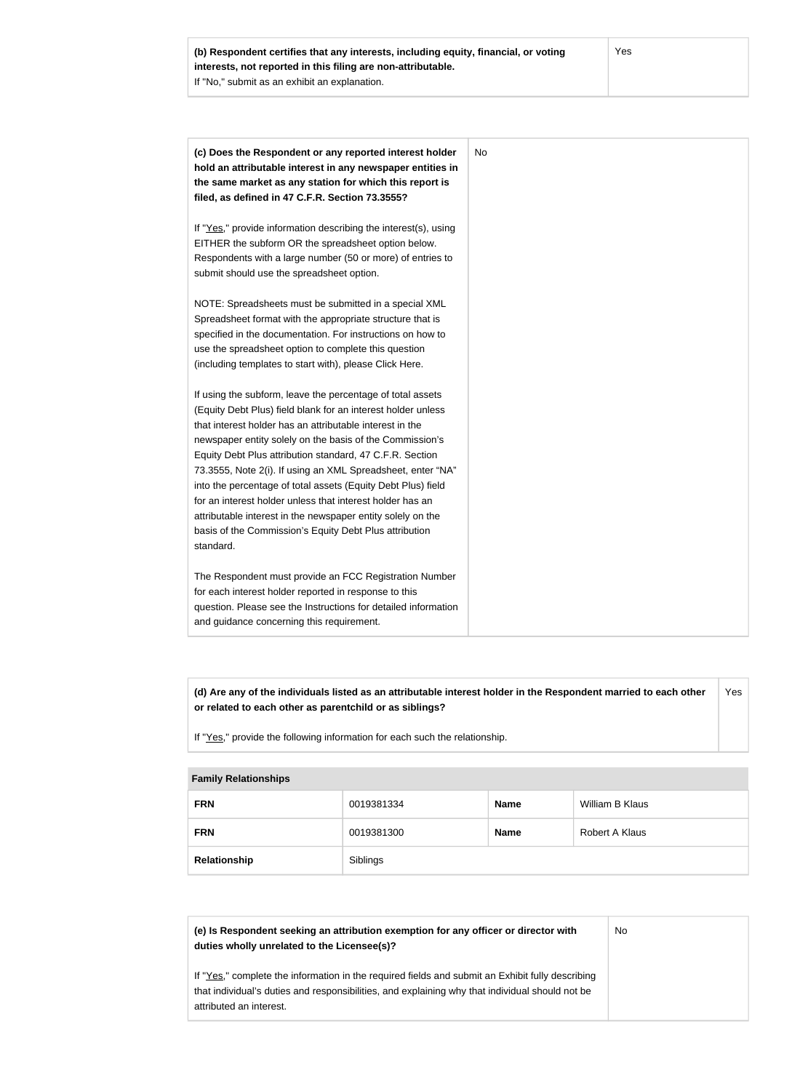| (c) Does the Respondent or any reported interest holder         |
|-----------------------------------------------------------------|
| hold an attributable interest in any newspaper entities in      |
| the same market as any station for which this report is         |
| filed, as defined in 47 C.F.R. Section 73.3555?                 |
| If "Yes," provide information describing the interest(s), using |
| EITHER the subform OR the spreadsheet option below.             |
| Respondents with a large number (50 or more) of entries to      |
| submit should use the spreadsheet option.                       |
|                                                                 |
| NOTE: Spreadsheets must be submitted in a special XML           |
| Spreadsheet format with the appropriate structure that is       |
| specified in the documentation. For instructions on how to      |
| use the spreadsheet option to complete this question            |
| (including templates to start with), please Click Here.         |
| If using the subform, leave the percentage of total assets      |
| (Equity Debt Plus) field blank for an interest holder unless    |
| that interest holder has an attributable interest in the        |
| newspaper entity solely on the basis of the Commission's        |
| Equity Debt Plus attribution standard, 47 C.F.R. Section        |
| 73.3555, Note 2(i). If using an XML Spreadsheet, enter "NA"     |
| into the percentage of total assets (Equity Debt Plus) field    |
| for an interest holder unless that interest holder has an       |
| attributable interest in the newspaper entity solely on the     |
| basis of the Commission's Equity Debt Plus attribution          |
| standard.                                                       |
| The Respondent must provide an FCC Registration Number          |
| for each interest holder reported in response to this           |
| question. Please see the Instructions for detailed information  |
| and guidance concerning this requirement.                       |

**(d) Are any of the individuals listed as an attributable interest holder in the Respondent married to each other or related to each other as parentchild or as siblings?** Yes

If "Yes," provide the following information for each such the relationship.

#### **Family Relationships**

| <b>FRN</b>   | 0019381334 | <b>Name</b> | William B Klaus |
|--------------|------------|-------------|-----------------|
| <b>FRN</b>   | 0019381300 | <b>Name</b> | Robert A Klaus  |
| Relationship | Siblings   |             |                 |

| (e) Is Respondent seeking an attribution exemption for any officer or director with<br>duties wholly unrelated to the Licensee(s)?                                                                                             | No |
|--------------------------------------------------------------------------------------------------------------------------------------------------------------------------------------------------------------------------------|----|
| If "Yes," complete the information in the required fields and submit an Exhibit fully describing<br>that individual's duties and responsibilities, and explaining why that individual should not be<br>attributed an interest. |    |